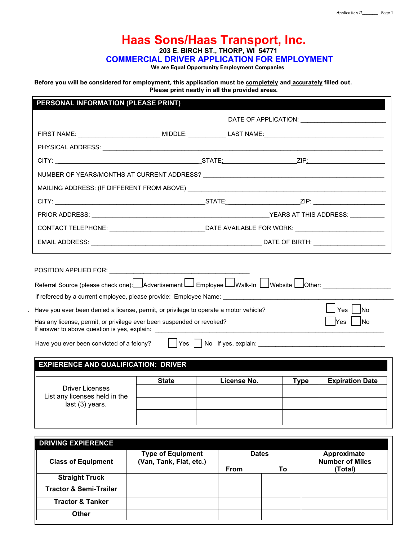# **Haas Sons/Haas Transport, Inc. 203 E. BIRCH ST., THORP, WI 54771**

 **COMMERCIAL DRIVER APPLICATION FOR EMPLOYMENT**

 **We are Equal Opportunity Employment Companies**

**Before you will be considered for employment, this application must be completely and accurately filled out. Please print neatly in all the provided areas.**

# **PERSONAL INFORMATION (PLEASE PRINT)**

| POSITION APPLIED FOR: \\cdf \\cdf \\cdf \\cdf \\cdf \\cdf \\cdf \\cdf \\cdf \\cdf \\cdf \\cdf \\cdf \\cdf \\cdf \\cdf \\cdf \\cdf \\cdf \\cdf \\cdf \\cdf \\cdf \\cdf \\cdf \\cdf \\cdf \\cdf \\cdf \\cdf \\cdf \\cdf \\cdf \\<br>Referral Source (please check one): Advertisement L Employee L Walk-In L Website L Other: ________________<br>Have you ever been denied a license, permit, or privilege to operate a motor vehicle? |              |             |             | Yes   No               |
|---------------------------------------------------------------------------------------------------------------------------------------------------------------------------------------------------------------------------------------------------------------------------------------------------------------------------------------------------------------------------------------------------------------------------------------|--------------|-------------|-------------|------------------------|
| Has any license, permit, or privilege ever been suspended or revoked?<br>If answer to above question is yes, explain: ___________________                                                                                                                                                                                                                                                                                             |              |             |             | Yes No                 |
| <b>EXPIERENCE AND QUALIFICATION: DRIVER</b>                                                                                                                                                                                                                                                                                                                                                                                           |              |             |             |                        |
|                                                                                                                                                                                                                                                                                                                                                                                                                                       | <b>State</b> | License No. | <b>Type</b> |                        |
| Have you ever been convicted of a felony?<br><b>Driver Licenses</b><br>List any licenses held in the                                                                                                                                                                                                                                                                                                                                  |              |             |             | <b>Expiration Date</b> |

| <b>DRIVING EXPIERENCE</b>         |                                                     |              |    |                                       |
|-----------------------------------|-----------------------------------------------------|--------------|----|---------------------------------------|
| <b>Class of Equipment</b>         | <b>Type of Equipment</b><br>(Van, Tank, Flat, etc.) | <b>Dates</b> |    | Approximate<br><b>Number of Miles</b> |
|                                   |                                                     | From         | To | (Total)                               |
| <b>Straight Truck</b>             |                                                     |              |    |                                       |
| <b>Tractor &amp; Semi-Trailer</b> |                                                     |              |    |                                       |
| <b>Tractor &amp; Tanker</b>       |                                                     |              |    |                                       |
| <b>Other</b>                      |                                                     |              |    |                                       |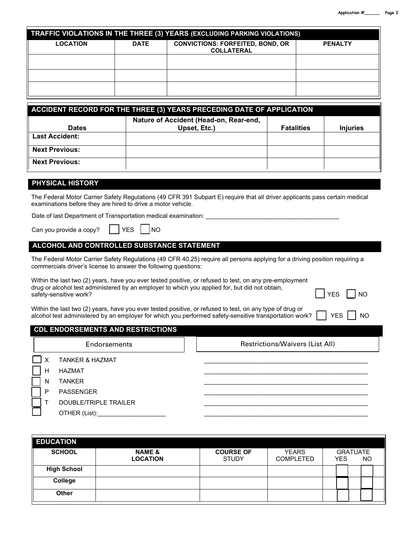|                 |             | <b>TRAFFIC VIOLATIONS IN THE THREE (3) YEARS (EXCLUDING PARKING VIOLATIONS)</b> |                |
|-----------------|-------------|---------------------------------------------------------------------------------|----------------|
| <b>LOCATION</b> | <b>DATE</b> | <b>CONVICTIONS: FORFEITED, BOND, OR</b><br><b>COLLATERAL</b>                    | <b>PENALTY</b> |
|                 |             |                                                                                 |                |
|                 |             |                                                                                 |                |
|                 |             |                                                                                 |                |

| ACCIDENT RECORD FOR THE THREE (3) YEARS PRECEDING DATE OF APPLICATION |                                        |                   |                 |  |
|-----------------------------------------------------------------------|----------------------------------------|-------------------|-----------------|--|
|                                                                       | Nature of Accident (Head-on, Rear-end, |                   |                 |  |
| <b>Dates</b>                                                          | Upset, Etc.)                           | <b>Fatalities</b> | <b>Injuries</b> |  |
| <b>Last Accident:</b>                                                 |                                        |                   |                 |  |
| <b>Next Previous:</b>                                                 |                                        |                   |                 |  |
| <b>Next Previous:</b>                                                 |                                        |                   |                 |  |

# **PHYSICAL HISTORY**

The Federal Motor Carrier Safety Regulations (49 CFR 391 Subpart E) require that all driver applicants pass certain medical examinations before they are hired to drive a motor vehicle.

Date of last Department of Transportation medical examination:

| Can you provide a copy? |  | $\sqrt{YES}$ $NO$ |  |  |
|-------------------------|--|-------------------|--|--|
|-------------------------|--|-------------------|--|--|

# **ALCOHOL AND CONTROLLED SUBSTANCE STATEMENT**

The Federal Motor Carrier Safety Regulations (49 CFR 40.25) require all persons applying for a driving position requiring a commercials driver's license to answer the following questions:

Within the last two (2) years, have you ever tested positive, or refused to test, on any pre-employment drug or alcohol test administered by an employer to which you applied for, but did not obtain, safety-sensitive work? The contract of the contract of the contract of the contract of the contract of the contract of the contract of the contract of the contract of the contract of the contract of the contract of the con

| Within the last two (2) years, have you ever tested positive, or refused to test, on any type of drug or                                                                                                                              |  |  |  |  |  |  |
|---------------------------------------------------------------------------------------------------------------------------------------------------------------------------------------------------------------------------------------|--|--|--|--|--|--|
| $\frac{1}{2}$ and the last two (z) years, have you ever tested positive, or relused to test, orr any type or drug or<br>alcohol test administered by an employer for which you performed safety-sensitive transportation work? $\Box$ |  |  |  |  |  |  |

| <b>CDL ENDORSEMENTS AND RESTRICTIONS</b> |  |  |  |
|------------------------------------------|--|--|--|
|                                          |  |  |  |

Endorsements **Restrictions/Waivers (List All)** 

X TANKER & HAZMAT \_\_\_\_\_\_\_\_\_\_\_\_\_\_\_\_\_\_\_\_\_\_\_\_\_\_\_\_\_\_\_\_\_\_\_\_\_\_\_\_\_\_\_\_\_\_\_\_

H HAZMAT \_\_\_\_\_\_\_\_\_\_\_\_\_\_\_\_\_\_\_\_\_\_\_\_\_\_\_\_\_\_\_\_\_\_\_\_\_\_\_\_\_\_\_\_\_\_\_\_

 $\overline{a}$ 

- N TANKER \_\_\_\_\_\_\_\_\_\_\_\_\_\_\_\_\_\_\_\_\_\_\_\_\_\_\_\_\_\_\_\_\_\_\_\_\_\_\_\_\_\_\_\_\_\_\_\_
- P PASSENGER \_\_\_\_\_\_\_\_\_\_\_\_\_\_\_\_\_\_\_\_\_\_\_\_\_\_\_\_\_\_\_\_\_\_\_\_\_\_\_\_\_\_\_\_\_\_\_\_
	- T DOUBLE/TRIPLE TRAILER OTHER (List):\_\_\_\_\_\_\_\_\_\_\_\_\_\_\_\_\_\_\_\_ \_\_\_\_\_\_\_\_\_\_\_\_\_\_\_\_\_\_\_\_\_\_\_\_\_\_\_\_\_\_\_\_\_\_\_\_\_\_\_\_\_\_\_\_\_\_\_\_

| <b>EDUCATION</b>   |                                      |                                  |                                  |            |                 |           |  |
|--------------------|--------------------------------------|----------------------------------|----------------------------------|------------|-----------------|-----------|--|
| <b>SCHOOL</b>      | <b>NAME &amp;</b><br><b>LOCATION</b> | <b>COURSE OF</b><br><b>STUDY</b> | <b>YEARS</b><br><b>COMPLETED</b> | <b>YES</b> | <b>GRATUATE</b> | <b>NO</b> |  |
| <b>High School</b> |                                      |                                  |                                  |            |                 |           |  |
| College            |                                      |                                  |                                  |            |                 |           |  |
| <b>Other</b>       |                                      |                                  |                                  |            |                 |           |  |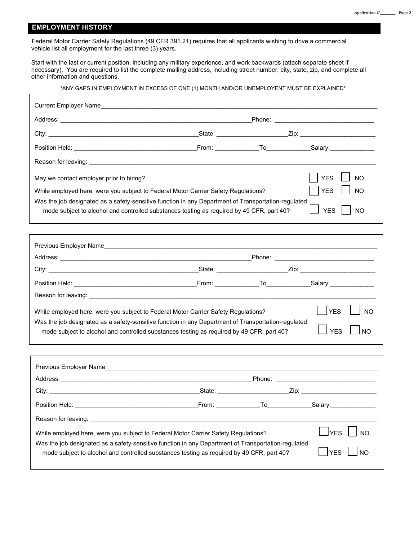# **EMPLOYMENT HISTORY**

 Federal Motor Carrier Safety Regulations (49 CFR 391.21) requires that all applicants wishing to drive a commercial vehicle list all employment for the last three (3) years.

Start with the last or current position, including any military experience, and work backwards (attach separate sheet if necessary). You are required to list the complete mailing address, including street number, city, state, zip, and complete all other information and questions.

#### \*ANY GAPS IN EMPLOYMENT IN EXCESS OF ONE (1) MONTH AND/OR UNEMPLOYENT MUST BE EXPLAINED\*

|                                                                                                                                                                                                  |       |    | Phone: __________________________________ |
|--------------------------------------------------------------------------------------------------------------------------------------------------------------------------------------------------|-------|----|-------------------------------------------|
|                                                                                                                                                                                                  |       |    |                                           |
|                                                                                                                                                                                                  |       |    |                                           |
|                                                                                                                                                                                                  |       |    |                                           |
| May we contact employer prior to hiring?                                                                                                                                                         |       |    | <b>YES</b><br><b>NO</b>                   |
| While employed here, were you subject to Federal Motor Carrier Safety Regulations?                                                                                                               |       |    | <b>YES</b><br><b>NO</b>                   |
| Was the job designated as a safety-sensitive function in any Department of Transportation-regulated<br>mode subject to alcohol and controlled substances testing as required by 49 CFR, part 40? |       |    | <b>YES</b><br><b>NO</b>                   |
|                                                                                                                                                                                                  |       |    |                                           |
|                                                                                                                                                                                                  |       |    |                                           |
|                                                                                                                                                                                                  |       |    |                                           |
|                                                                                                                                                                                                  |       |    |                                           |
|                                                                                                                                                                                                  |       |    |                                           |
|                                                                                                                                                                                                  |       |    |                                           |
| While employed here, were you subject to Federal Motor Carrier Safety Regulations?                                                                                                               |       |    | <b>NO</b>                                 |
| Was the job designated as a safety-sensitive function in any Department of Transportation-regulated<br>mode subject to alcohol and controlled substances testing as required by 49 CFR, part 40? |       |    | <b>YES</b><br>NO                          |
|                                                                                                                                                                                                  |       |    |                                           |
|                                                                                                                                                                                                  |       |    |                                           |
|                                                                                                                                                                                                  |       |    |                                           |
|                                                                                                                                                                                                  |       |    |                                           |
| Position Held:                                                                                                                                                                                   | From: | To | Salary:                                   |
| Reason for leaving:                                                                                                                                                                              |       |    |                                           |
| While employed here, were you subject to Federal Motor Carrier Safety Regulations?                                                                                                               |       |    | <b>YES</b><br><b>NO</b>                   |
| Was the job designated as a safety-sensitive function in any Department of Transportation-regulated<br>mode subject to alcohol and controlled substances testing as required by 49 CFR, part 40? |       |    | <b>YES</b><br><b>NO</b>                   |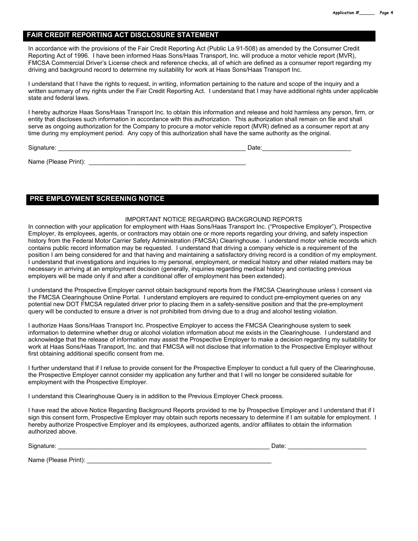### **FAIR CREDIT REPORTING ACT DISCLOSURE STATEMENT**

In accordance with the provisions of the Fair Credit Reporting Act (Public La 91-508) as amended by the Consumer Credit Reporting Act of 1996. I have been informed Haas Sons/Haas Transport, Inc. will produce a motor vehicle report (MVR), FMCSA Commercial Driver's License check and reference checks, all of which are defined as a consumer report regarding my driving and background record to determine my suitability for work at Haas Sons/Haas Transport Inc.

I understand that I have the rights to request, in writing, information pertaining to the nature and scope of the inquiry and a written summary of my rights under the Fair Credit Reporting Act. I understand that I may have additional rights under applicable state and federal laws.

I hereby authorize Haas Sons/Haas Transport Inc. to obtain this information and release and hold harmless any person, firm, or entity that discloses such information in accordance with this authorization. This authorization shall remain on file and shall serve as ongoing authorization for the Company to procure a motor vehicle report (MVR) defined as a consumer report at any time during my employment period. Any copy of this authorization shall have the same authority as the original.

Signature: \_\_\_\_\_\_\_\_\_\_\_\_\_\_\_\_\_\_\_\_\_\_\_\_\_\_\_\_\_\_\_\_\_\_\_\_\_\_\_\_\_\_\_\_\_\_\_\_\_\_\_\_\_\_\_ Date:\_\_\_\_\_\_\_\_\_\_\_\_\_\_\_\_\_\_\_\_\_\_\_\_\_\_

Name (Please Print): \_\_\_\_\_\_\_\_\_\_\_\_\_\_\_\_\_\_\_\_\_\_\_\_\_\_\_\_\_\_\_\_\_\_\_\_\_\_\_\_\_\_\_\_\_\_

# **PRE EMPLOYMENT SCREENING NOTICE**

#### IMPORTANT NOTICE REGARDING BACKGROUND REPORTS

In connection with your application for employment with Haas Sons/Haas Transport Inc. ("Prospective Employer"), Prospective Employer, its employees, agents, or contractors may obtain one or more reports regarding your driving, and safety inspection history from the Federal Motor Carrier Safety Administration (FMCSA) Clearinghouse. I understand motor vehicle records which contains public record information may be requested. I understand that driving a company vehicle is a requirement of the position I am being considered for and that having and maintaining a satisfactory driving record is a condition of my employment. I understand that investigations and inquiries to my personal, employment, or medical history and other related matters may be necessary in arriving at an employment decision (generally, inquiries regarding medical history and contacting previous employers will be made only if and after a conditional offer of employment has been extended).

I understand the Prospective Employer cannot obtain background reports from the FMCSA Clearinghouse unless I consent via the FMCSA Clearinghouse Online Portal. I understand employers are required to conduct pre-employment queries on any potential new DOT FMCSA regulated driver prior to placing them in a safety-sensitive position and that the pre-employment query will be conducted to ensure a driver is not prohibited from driving due to a drug and alcohol testing violation.

I authorize Haas Sons/Haas Transport Inc. Prospective Employer to access the FMCSA Clearinghouse system to seek information to determine whether drug or alcohol violation information about me exists in the Clearinghouse. I understand and acknowledge that the release of information may assist the Prospective Employer to make a decision regarding my suitability for work at Haas Sons/Haas Transport, Inc. and that FMCSA will not disclose that information to the Prospective Employer without first obtaining additional specific consent from me.

I further understand that if I refuse to provide consent for the Prospective Employer to conduct a full query of the Clearinghouse, the Prospective Employer cannot consider my application any further and that I will no longer be considered suitable for employment with the Prospective Employer.

I understand this Clearinghouse Query is in addition to the Previous Employer Check process.

I have read the above Notice Regarding Background Reports provided to me by Prospective Employer and I understand that if I sign this consent form, Prospective Employer may obtain such reports necessary to determine if I am suitable for employment. I hereby authorize Prospective Employer and its employees, authorized agents, and/or affiliates to obtain the information authorized above.

Signature: \_\_\_\_\_\_\_\_\_\_\_\_\_\_\_\_\_\_\_\_\_\_\_\_\_\_\_\_\_\_\_\_\_\_\_\_\_\_\_\_\_\_\_\_\_\_\_\_\_\_\_\_\_\_\_\_\_\_\_\_\_\_ Date: \_\_\_\_\_\_\_\_\_\_\_\_\_\_\_\_\_\_\_\_\_\_\_

Name (Please Print): \_\_\_\_\_\_\_\_\_\_\_\_\_\_\_\_\_\_\_\_\_\_\_\_\_\_\_\_\_\_\_\_\_\_\_\_\_\_\_\_\_\_\_\_\_\_\_\_\_\_\_\_\_\_